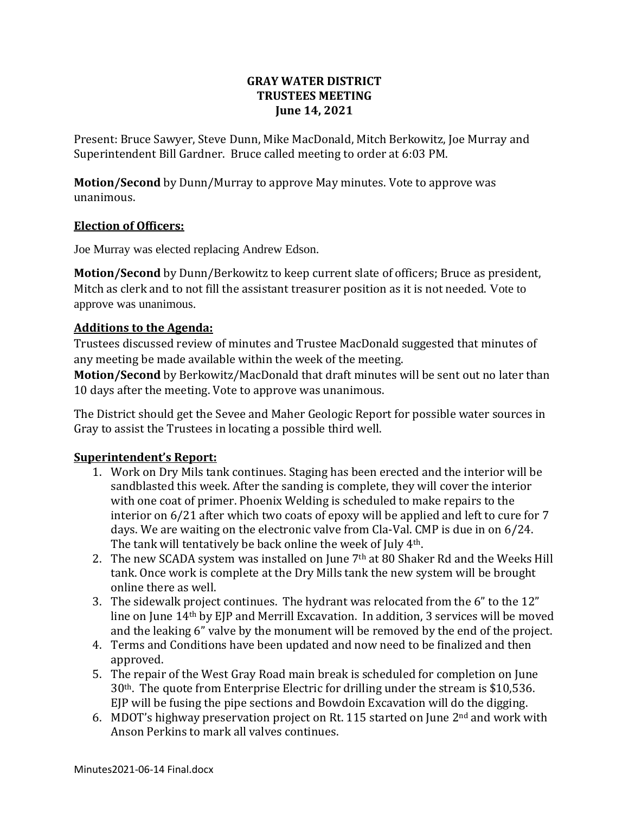# **GRAY WATER DISTRICT TRUSTEES MEETING June 14, 2021**

Present: Bruce Sawyer, Steve Dunn, Mike MacDonald, Mitch Berkowitz, Joe Murray and Superintendent Bill Gardner. Bruce called meeting to order at 6:03 PM.

**Motion/Second** by Dunn/Murray to approve May minutes. Vote to approve was unanimous.

# **Election of Officers:**

Joe Murray was elected replacing Andrew Edson.

**Motion/Second** by Dunn/Berkowitz to keep current slate of officers; Bruce as president, Mitch as clerk and to not fill the assistant treasurer position as it is not needed. Vote to approve was unanimous.

# **Additions to the Agenda:**

Trustees discussed review of minutes and Trustee MacDonald suggested that minutes of any meeting be made available within the week of the meeting.

**Motion/Second** by Berkowitz/MacDonald that draft minutes will be sent out no later than 10 days after the meeting. Vote to approve was unanimous.

The District should get the Sevee and Maher Geologic Report for possible water sources in Gray to assist the Trustees in locating a possible third well.

# **Superintendent's Report:**

- 1. Work on Dry Mils tank continues. Staging has been erected and the interior will be sandblasted this week. After the sanding is complete, they will cover the interior with one coat of primer. Phoenix Welding is scheduled to make repairs to the interior on 6/21 after which two coats of epoxy will be applied and left to cure for 7 days. We are waiting on the electronic valve from Cla-Val. CMP is due in on 6/24. The tank will tentatively be back online the week of July 4th.
- 2. The new SCADA system was installed on June  $7<sup>th</sup>$  at 80 Shaker Rd and the Weeks Hill tank. Once work is complete at the Dry Mills tank the new system will be brought online there as well.
- 3. The sidewalk project continues. The hydrant was relocated from the 6" to the 12" line on June 14th by EJP and Merrill Excavation. In addition, 3 services will be moved and the leaking 6" valve by the monument will be removed by the end of the project.
- 4. Terms and Conditions have been updated and now need to be finalized and then approved.
- 5. The repair of the West Gray Road main break is scheduled for completion on June 30th. The quote from Enterprise Electric for drilling under the stream is \$10,536. EJP will be fusing the pipe sections and Bowdoin Excavation will do the digging.
- 6. MDOT's highway preservation project on Rt. 115 started on June 2nd and work with Anson Perkins to mark all valves continues.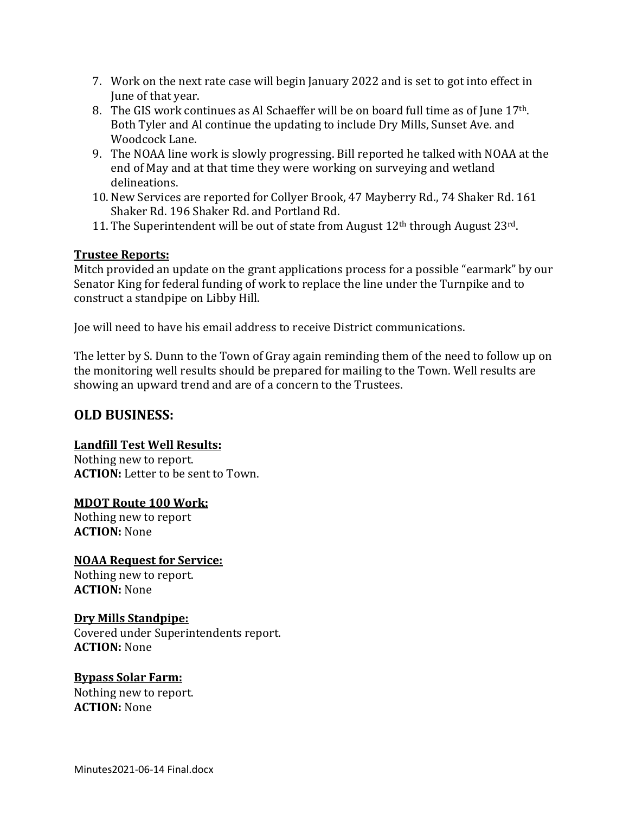- 7. Work on the next rate case will begin January 2022 and is set to got into effect in June of that year.
- 8. The GIS work continues as Al Schaeffer will be on board full time as of June 17<sup>th</sup>. Both Tyler and Al continue the updating to include Dry Mills, Sunset Ave. and Woodcock Lane.
- 9. The NOAA line work is slowly progressing. Bill reported he talked with NOAA at the end of May and at that time they were working on surveying and wetland delineations.
- 10. New Services are reported for Collyer Brook, 47 Mayberry Rd., 74 Shaker Rd. 161 Shaker Rd. 196 Shaker Rd. and Portland Rd.
- 11. The Superintendent will be out of state from August  $12<sup>th</sup>$  through August  $23<sup>rd</sup>$ .

# **Trustee Reports:**

Mitch provided an update on the grant applications process for a possible "earmark" by our Senator King for federal funding of work to replace the line under the Turnpike and to construct a standpipe on Libby Hill.

Joe will need to have his email address to receive District communications.

The letter by S. Dunn to the Town of Gray again reminding them of the need to follow up on the monitoring well results should be prepared for mailing to the Town. Well results are showing an upward trend and are of a concern to the Trustees.

# **OLD BUSINESS:**

## **Landfill Test Well Results:**

Nothing new to report. **ACTION:** Letter to be sent to Town.

## **MDOT Route 100 Work:**

Nothing new to report **ACTION:** None

**NOAA Request for Service:** Nothing new to report. **ACTION:** None

## **Dry Mills Standpipe:**

Covered under Superintendents report. **ACTION:** None

# **Bypass Solar Farm:**

Nothing new to report. **ACTION:** None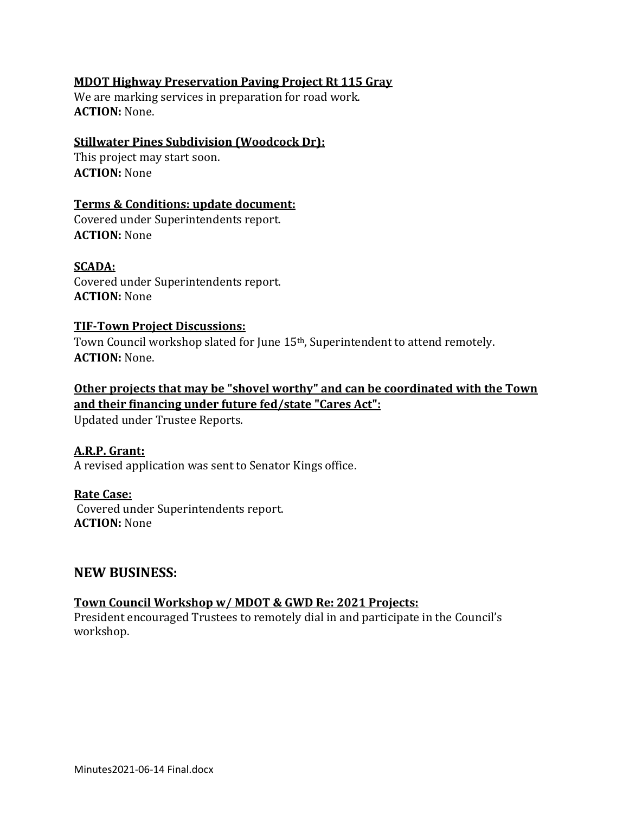# **MDOT Highway Preservation Paving Project Rt 115 Gray**

We are marking services in preparation for road work. **ACTION:** None.

## **Stillwater Pines Subdivision (Woodcock Dr):**

This project may start soon. **ACTION:** None

#### **Terms & Conditions: update document:**

Covered under Superintendents report. **ACTION:** None

#### **SCADA:**

Covered under Superintendents report. **ACTION:** None

#### **TIF-Town Project Discussions:**

Town Council workshop slated for June 15th, Superintendent to attend remotely. **ACTION:** None.

# **Other projects that may be "shovel worthy" and can be coordinated with the Town and their financing under future fed/state "Cares Act":**

Updated under Trustee Reports.

## **A.R.P. Grant:**

A revised application was sent to Senator Kings office.

## **Rate Case:**

Covered under Superintendents report. **ACTION:** None

## **NEW BUSINESS:**

## **Town Council Workshop w/ MDOT & GWD Re: 2021 Projects:**

President encouraged Trustees to remotely dial in and participate in the Council's workshop.